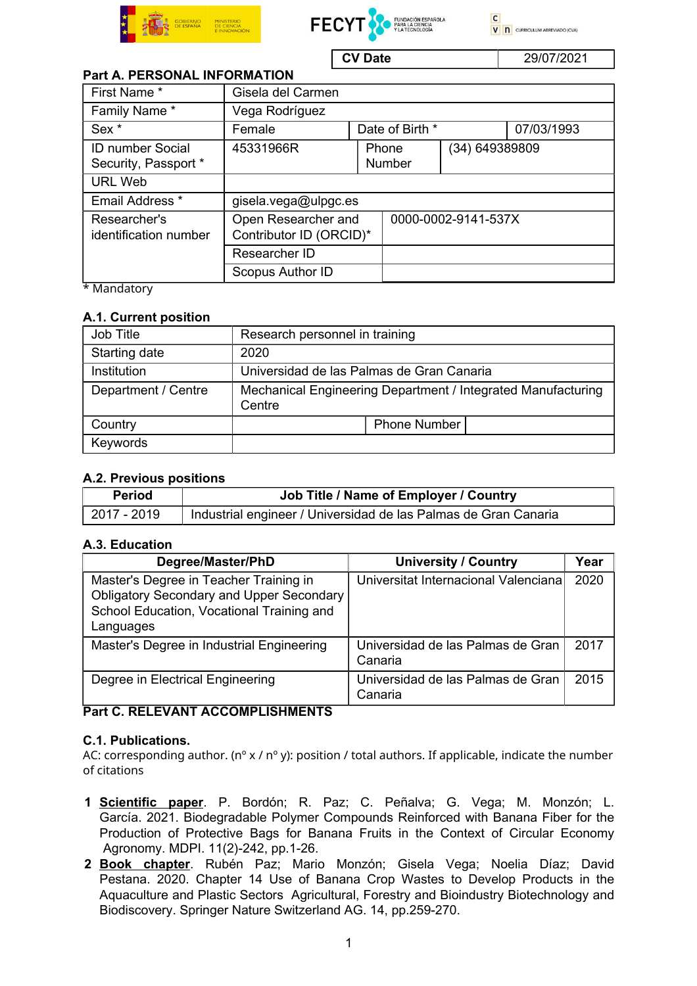





CV Date 29/07/2021

# Part A. PERSONAL INFORMATION

| First Name *                                    | Gisela del Carmen                                               |  |                     |                |            |  |
|-------------------------------------------------|-----------------------------------------------------------------|--|---------------------|----------------|------------|--|
| Family Name*                                    | Vega Rodríguez                                                  |  |                     |                |            |  |
| Sex <sup>*</sup>                                | Female                                                          |  | Date of Birth *     |                | 07/03/1993 |  |
| <b>ID number Social</b><br>Security, Passport * | 45331966R                                                       |  | Phone<br>Number     | (34) 649389809 |            |  |
| <b>URL Web</b>                                  |                                                                 |  |                     |                |            |  |
| Email Address *                                 | gisela.vega@ulpgc.es                                            |  |                     |                |            |  |
| Researcher's<br>identification number           | Open Researcher and<br>Contributor ID (ORCID)*<br>Researcher ID |  | 0000-0002-9141-537X |                |            |  |
|                                                 |                                                                 |  |                     |                |            |  |
| $*$ Nondatori                                   | Scopus Author ID                                                |  |                     |                |            |  |

\* Mandatory

## A.1. Current position

| Job Title           | Research personnel in training                                         |  |  |  |  |
|---------------------|------------------------------------------------------------------------|--|--|--|--|
| Starting date       | 2020                                                                   |  |  |  |  |
| Institution         | Universidad de las Palmas de Gran Canaria                              |  |  |  |  |
| Department / Centre | Mechanical Engineering Department / Integrated Manufacturing<br>Centre |  |  |  |  |
| Country             | <b>Phone Number</b>                                                    |  |  |  |  |
| Keywords            |                                                                        |  |  |  |  |

## A.2. Previous positions

| <b>Period</b> | Job Title / Name of Employer / Country                          |
|---------------|-----------------------------------------------------------------|
| 2017 - 2019   | Industrial engineer / Universidad de las Palmas de Gran Canaria |

## A.3. Education

| Degree/Master/PhD                                                                                                                                   | <b>University / Country</b>                  | Year |
|-----------------------------------------------------------------------------------------------------------------------------------------------------|----------------------------------------------|------|
| Master's Degree in Teacher Training in<br><b>Obligatory Secondary and Upper Secondary</b><br>School Education, Vocational Training and<br>Languages | Universitat Internacional Valenciana         | 2020 |
| Master's Degree in Industrial Engineering                                                                                                           | Universidad de las Palmas de Gran<br>Canaria | 2017 |
| Degree in Electrical Engineering                                                                                                                    | Universidad de las Palmas de Gran<br>Canaria | 2015 |

## Part C. RELEVANT ACCOMPLISHMENTS

## C.1. Publications.

AC: corresponding author. (n<sup>o</sup> x / n<sup>o</sup> y): position / total authors. If applicable, indicate the number of citations

- 1 Scientific paper. P. Bordón; R. Paz; C. Peñalva; G. Vega; M. Monzón; L. García. 2021. Biodegradable Polymer Compounds Reinforced with Banana Fiber for the Production of Protective Bags for Banana Fruits in the Context of Circular Economy Agronomy. MDPI. 11(2)-242, pp.1-26.
- 2 Book chapter. Rubén Paz; Mario Monzón; Gisela Vega; Noelia Díaz; David Pestana. 2020. Chapter 14 Use of Banana Crop Wastes to Develop Products in the Aquaculture and Plastic Sectors Agricultural, Forestry and Bioindustry Biotechnology and Biodiscovery. Springer Nature Switzerland AG. 14, pp.259-270.